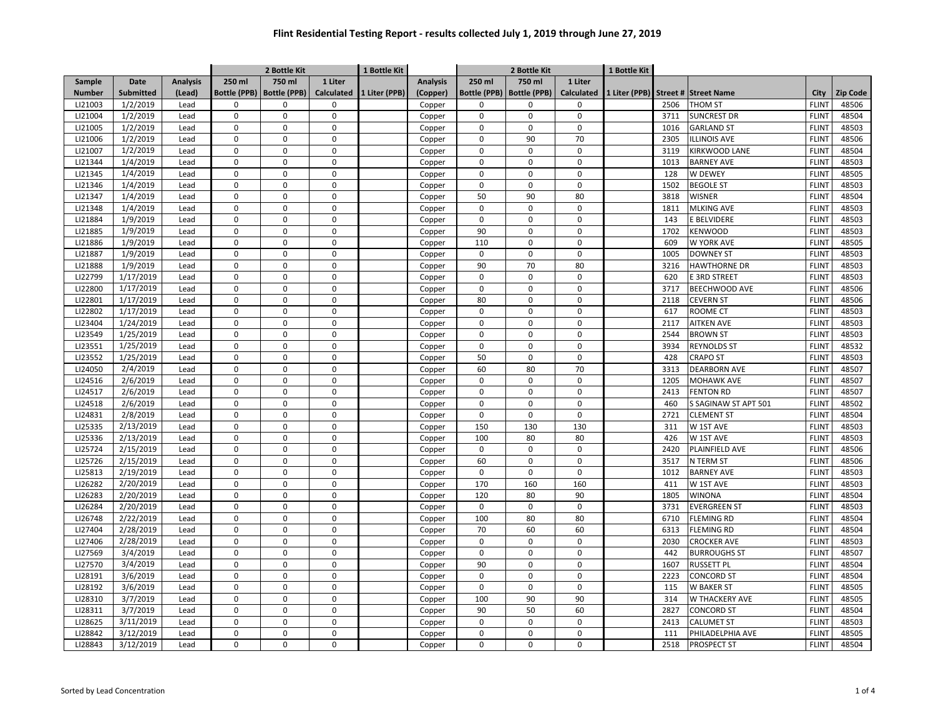|               |             |                 |                     | 2 Bottle Kit        |                             | 1 Bottle Kit  |                 | 2 Bottle Kit        |                     |                   | 1 Bottle Kit  |      |                      |                              |          |
|---------------|-------------|-----------------|---------------------|---------------------|-----------------------------|---------------|-----------------|---------------------|---------------------|-------------------|---------------|------|----------------------|------------------------------|----------|
| Sample        | <b>Date</b> | <b>Analysis</b> | 250 ml              | 750 ml              | 1 Liter                     |               | <b>Analysis</b> | 250 ml              | 750 ml              | 1 Liter           |               |      |                      |                              |          |
| <b>Number</b> | Submitted   | (Lead)          | <b>Bottle (PPB)</b> | <b>Bottle (PPB)</b> | <b>Calculated</b>           | 1 Liter (PPB) | (Copper)        | <b>Bottle (PPB)</b> | <b>Bottle (PPB)</b> | <b>Calculated</b> | 1 Liter (PPB) |      | Street # Street Name | City                         | Zip Code |
| LI21003       | 1/2/2019    | Lead            | 0                   | 0                   | $\mathbf 0$                 |               | Copper          | 0                   | 0                   | $\mathbf 0$       |               | 2506 | <b>THOM ST</b>       | <b>FLINT</b>                 | 48506    |
| LI21004       | 1/2/2019    | Lead            | 0                   | $\mathbf 0$         | $\mathsf{O}\xspace$         |               | Copper          | $\mathbf 0$         | 0                   | $\mathbf 0$       |               | 3711 | <b>SUNCREST DR</b>   | <b>FLINT</b>                 | 48504    |
| LI21005       | 1/2/2019    | Lead            | 0                   | 0                   | $\mathbf 0$                 |               | Copper          | 0                   | $\mathbf 0$         | $\mathbf 0$       |               | 1016 | <b>GARLAND ST</b>    | <b>FLINT</b>                 | 48503    |
| LI21006       | 1/2/2019    | Lead            | 0                   | $\mathbf 0$         | $\mathbf 0$                 |               | Copper          | 0                   | 90                  | 70                |               | 2305 | <b>ILLINOIS AVE</b>  | <b>FLINT</b>                 | 48506    |
| LI21007       | 1/2/2019    | Lead            | $\mathbf 0$         | $\Omega$            | $\mathbf{0}$                |               | Copper          | 0                   | $\Omega$            | $\Omega$          |               | 3119 | KIRKWOOD LANE        | <b>FLINT</b>                 | 48504    |
| LI21344       | 1/4/2019    | Lead            | $\Omega$            | $\Omega$            | $\mathbf{0}$                |               | Copper          | $\Omega$            | $\Omega$            | $\Omega$          |               | 1013 | <b>BARNEY AVE</b>    | <b>FLINT</b>                 | 48503    |
| LI21345       | 1/4/2019    | Lead            | $\Omega$            | $\Omega$            | $\mathbf{0}$                |               | Copper          | $\Omega$            | $\mathbf 0$         | $\Omega$          |               | 128  | W DEWEY              | <b>FLINT</b>                 | 48505    |
| LI21346       | 1/4/2019    | Lead            | $\Omega$            | $\Omega$            | $\mathbf 0$                 |               | Copper          | $\mathbf 0$         | $\mathbf 0$         | $\Omega$          |               | 1502 | <b>BEGOLE ST</b>     | <b>FLINT</b>                 | 48503    |
| LI21347       | 1/4/2019    | Lead            | $\Omega$            | $\Omega$            | $\Omega$                    |               | Copper          | 50                  | 90                  | 80                |               | 3818 | <b>WISNER</b>        | <b>FLINT</b>                 | 48504    |
| LI21348       | 1/4/2019    | Lead            | $\mathbf 0$         | 0                   | $\mathbf 0$                 |               | Copper          | 0                   | $\mathbf 0$         | $\mathbf 0$       |               | 1811 | <b>MLKING AVE</b>    | <b>FLINT</b>                 | 48503    |
| LI21884       | 1/9/2019    | Lead            | $\Omega$            | $\Omega$            | $\mathbf 0$                 |               | Copper          | 0                   | $\mathsf 0$         | $\Omega$          |               | 143  | <b>E BELVIDERE</b>   | <b>FLINT</b>                 | 48503    |
| LI21885       | 1/9/2019    | Lead            | 0                   | 0                   | $\mathbf 0$                 |               | Copper          | 90                  | 0                   | $\Omega$          |               | 1702 | <b>KENWOOD</b>       | <b>FLINT</b>                 | 48503    |
| LI21886       | 1/9/2019    | Lead            | 0                   | $\mathbf 0$         | $\mathbf{0}$                |               | Copper          | 110                 | $\Omega$            | $\Omega$          |               | 609  | W YORK AVE           | <b>FLINT</b>                 | 48505    |
| LI21887       | 1/9/2019    | Lead            | 0                   | $\mathbf 0$         | $\mathbf{0}$                |               | Copper          | $\mathbf 0$         | $\mathbf 0$         | $\mathbf 0$       |               | 1005 | <b>DOWNEY ST</b>     | <b>FLINT</b>                 | 48503    |
| LI21888       | 1/9/2019    | Lead            | 0                   | $\mathbf 0$         | $\mathbf 0$                 |               | Copper          | 90                  | 70                  | 80                |               | 3216 | <b>HAWTHORNE DR</b>  | <b>FLINT</b>                 | 48503    |
| LI22799       | 1/17/2019   | Lead            | 0                   | $\pmb{0}$           | $\mathbf 0$                 |               | Copper          | $\mathbf 0$         | $\mathbf 0$         | $\mathbf 0$       |               | 620  | E 3RD STREET         | <b>FLINT</b>                 | 48503    |
| LI22800       | 1/17/2019   | Lead            | 0                   | $\mathbf 0$         | $\mathbf 0$                 |               | Copper          | $\mathbf 0$         | $\mathbf 0$         | $\mathbf 0$       |               | 3717 | BEECHWOOD AVE        | <b>FLINT</b>                 | 48506    |
| LI22801       | 1/17/2019   | Lead            | 0                   | $\pmb{0}$           | $\mathbf 0$                 |               | Copper          | 80                  | $\mathbf 0$         | $\Omega$          |               | 2118 | <b>CEVERN ST</b>     | <b>FLINT</b>                 | 48506    |
| LI22802       | 1/17/2019   | Lead            | 0                   | $\mathbf 0$         | $\mathbf 0$                 |               | Copper          | 0                   | $\Omega$            | $\Omega$          |               | 617  | ROOME CT             | <b>FLINT</b>                 | 48503    |
| LI23404       | 1/24/2019   | Lead            | $\Omega$            | $\Omega$            | $\mathbf{0}$                |               | Copper          | $\Omega$            | $\mathbf 0$         | $\Omega$          |               | 2117 | <b>AITKEN AVE</b>    | <b>FLINT</b>                 | 48503    |
| LI23549       | 1/25/2019   | Lead            | $\Omega$            | $\Omega$            | $\mathbf 0$                 |               | Copper          | $\Omega$            | $\mathbf 0$         | $\Omega$          |               | 2544 | <b>BROWN ST</b>      | <b>FLINT</b>                 | 48503    |
| LI23551       | 1/25/2019   | Lead            | $\mathbf 0$         | $\Omega$            | $\mathbf{0}$                |               | Copper          | $\mathbf 0$         | $\mathbf 0$         | $\Omega$          |               | 3934 | <b>REYNOLDS ST</b>   | <b>FLINT</b>                 | 48532    |
| LI23552       | 1/25/2019   | Lead            | $\Omega$            | $\Omega$            | $\mathbf 0$                 |               | Copper          | 50                  | $\mathbf 0$         | $\Omega$          |               | 428  | <b>CRAPO ST</b>      | <b>FLINT</b>                 | 48503    |
| LI24050       | 2/4/2019    | Lead            | $\Omega$            | $\pmb{0}$           | $\mathbf 0$                 |               | Copper          | 60                  | 80                  | 70                |               | 3313 | <b>DEARBORN AVE</b>  | <b>FLINT</b>                 | 48507    |
| LI24516       | 2/6/2019    | Lead            | $\mathbf 0$         | $\mathbf 0$         | $\mathbf{0}$                |               |                 | 0                   | $\mathbf 0$         | $\Omega$          |               | 1205 | <b>MOHAWK AVE</b>    | <b>FLINT</b>                 | 48507    |
| LI24517       | 2/6/2019    | Lead            | 0                   | $\mathbf 0$         | $\mathbf{0}$                |               | Copper          | $\mathbf 0$         | $\mathbf 0$         | $\Omega$          |               | 2413 | <b>FENTON RD</b>     | <b>FLINT</b>                 | 48507    |
| LI24518       |             |                 | $\mathbf 0$         |                     |                             |               | Copper          |                     |                     | $\Omega$          |               |      |                      |                              |          |
|               | 2/6/2019    | Lead            | 0                   | 0<br>$\mathbf 0$    | $\mathbf 0$<br>$\mathbf{0}$ |               | Copper          | 0                   | 0<br>$\Omega$       | $\Omega$          |               | 460  | S SAGINAW ST APT 501 | <b>FLINT</b><br><b>FLINT</b> | 48502    |
| LI24831       | 2/8/2019    | Lead            |                     |                     |                             |               | Copper          | $\mathbf 0$         |                     |                   |               | 2721 | <b>CLEMENT ST</b>    |                              | 48504    |
| LI25335       | 2/13/2019   | Lead            | 0                   | $\mathbf 0$         | $\mathbf{0}$                |               | Copper          | 150                 | 130                 | 130               |               | 311  | W 1ST AVE            | <b>FLINT</b>                 | 48503    |
| LI25336       | 2/13/2019   | Lead            | 0                   | $\mathbf 0$         | $\mathbf 0$                 |               | Copper          | 100                 | 80                  | 80                |               | 426  | W 1ST AVE            | <b>FLINT</b>                 | 48503    |
| LI25724       | 2/15/2019   | Lead            | 0                   | $\pmb{0}$           | $\mathbf 0$                 |               | Copper          | $\mathbf 0$         | $\mathbf 0$         | $\mathbf 0$       |               | 2420 | PLAINFIELD AVE       | <b>FLINT</b>                 | 48506    |
| LI25726       | 2/15/2019   | Lead            | 0                   | $\mathbf 0$         | $\mathbf 0$                 |               | Copper          | 60                  | $\mathbf 0$         | $\mathbf 0$       |               | 3517 | N TERM ST            | <b>FLINT</b>                 | 48506    |
| LI25813       | 2/19/2019   | Lead            | 0                   | $\pmb{0}$           | $\mathbf 0$                 |               | Copper          | $\mathsf 0$         | $\mathbf 0$         | $\mathbf 0$       |               | 1012 | <b>BARNEY AVE</b>    | <b>FLINT</b>                 | 48503    |
| LI26282       | 2/20/2019   | Lead            | $\mathbf 0$         | $\Omega$            | $\mathbf 0$                 |               | Copper          | 170                 | 160                 | 160               |               | 411  | W 1ST AVE            | <b>FLINT</b>                 | 48503    |
| LI26283       | 2/20/2019   | Lead            | $\Omega$            | $\mathbf 0$         | $\mathbf{0}$                |               | Copper          | 120                 | 80                  | 90                |               | 1805 | <b>WINONA</b>        | <b>FLINT</b>                 | 48504    |
| LI26284       | 2/20/2019   | Lead            | $\Omega$            | $\Omega$            | $\mathbf 0$                 |               | Copper          | $\mathbf 0$         | $\mathbf 0$         | $\Omega$          |               | 3731 | <b>EVERGREEN ST</b>  | <b>FLINT</b>                 | 48503    |
| LI26748       | 2/22/2019   | Lead            | $\Omega$            | $\Omega$            | $\Omega$                    |               | Copper          | 100                 | 80                  | 80                |               | 6710 | <b>FLEMING RD</b>    | <b>FLINT</b>                 | 48504    |
| LI27404       | 2/28/2019   | Lead            | $\mathbf 0$         | $\Omega$            | $\mathbf 0$                 |               | Copper          | 70                  | 60                  | 60                |               | 6313 | <b>FLEMING RD</b>    | <b>FLINT</b>                 | 48504    |
| LI27406       | 2/28/2019   | Lead            | $\Omega$            | $\Omega$            | $\mathbf 0$                 |               | Copper          | 0                   | $\Omega$            | $\Omega$          |               | 2030 | <b>CROCKER AVE</b>   | <b>FLINT</b>                 | 48503    |
| LI27569       | 3/4/2019    | Lead            | $\mathbf 0$         | $\mathbf 0$         | $\mathbf{0}$                |               | Copper          | $\mathsf 0$         | $\mathbf 0$         | $\Omega$          |               | 442  | <b>BURROUGHS ST</b>  | <b>FLINT</b>                 | 48507    |
| LI27570       | 3/4/2019    | Lead            | $\Omega$            | $\mathbf 0$         | $\mathbf{0}$                |               | Copper          | 90                  | $\mathbf 0$         | $\Omega$          |               | 1607 | <b>RUSSETT PL</b>    | <b>FLINT</b>                 | 48504    |
| LI28191       | 3/6/2019    | Lead            | $\mathbf 0$         | 0                   | $\mathbf 0$                 |               | Copper          | $\mathbf 0$         | $\mathbf 0$         | $\Omega$          |               | 2223 | <b>CONCORD ST</b>    | <b>FLINT</b>                 | 48504    |
| LI28192       | 3/6/2019    | Lead            | 0                   | $\mathbf 0$         | $\mathbf{0}$                |               | Copper          | $\mathbf 0$         | $\Omega$            | $\Omega$          |               | 115  | <b>W BAKER ST</b>    | <b>FLINT</b>                 | 48505    |
| LI28310       | 3/7/2019    | Lead            | 0                   | $\mathbf 0$         | $\mathbf{0}$                |               | Copper          | 100                 | 90                  | 90                |               | 314  | W THACKERY AVE       | <b>FLINT</b>                 | 48505    |
| LI28311       | 3/7/2019    | Lead            | 0                   | $\mathbf 0$         | $\mathbf 0$                 |               | Copper          | 90                  | 50                  | 60                |               | 2827 | <b>CONCORD ST</b>    | <b>FLINT</b>                 | 48504    |
| LI28625       | 3/11/2019   | Lead            | 0                   | $\pmb{0}$           | $\mathbf 0$                 |               | Copper          | $\mathbf 0$         | $\mathbf 0$         | $\mathbf 0$       |               | 2413 | <b>CALUMET ST</b>    | <b>FLINT</b>                 | 48503    |
| LI28842       | 3/12/2019   | Lead            | 0                   | $\mathbf 0$         | $\mathbf 0$                 |               | Copper          | 0                   | $\mathbf 0$         | 0                 |               | 111  | PHILADELPHIA AVE     | <b>FLINT</b>                 | 48505    |
| LI28843       | 3/12/2019   | Lead            | 0                   | $\mathbf 0$         | $\mathbf 0$                 |               | Copper          | 0                   | $\mathbf 0$         | $\Omega$          |               | 2518 | <b>PROSPECT ST</b>   | <b>FLINT</b>                 | 48504    |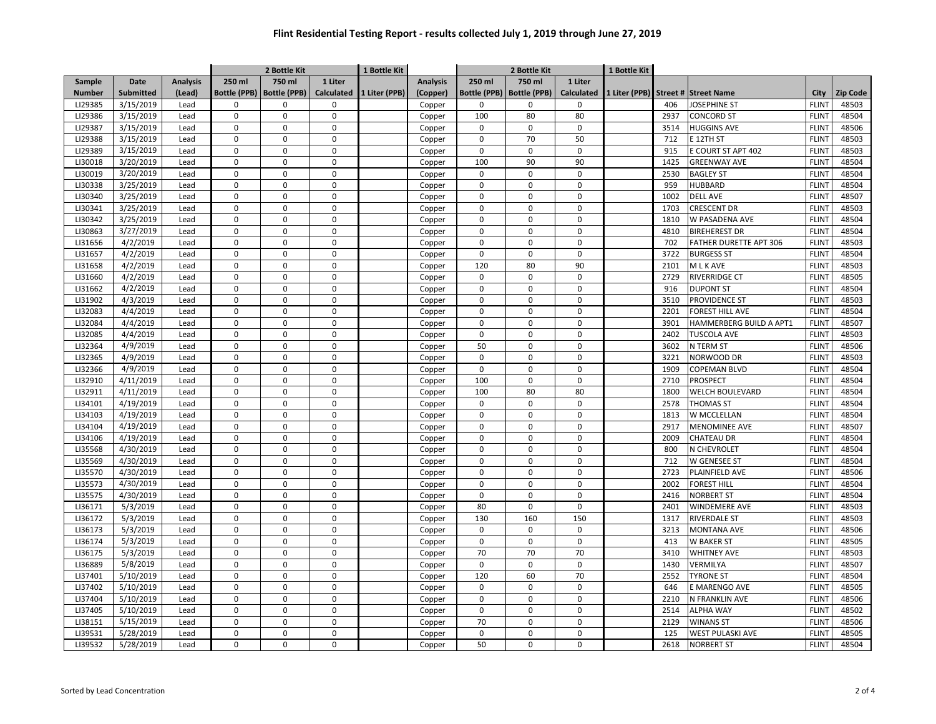|               |             |                 |                     | 2 Bottle Kit        |                     | 1 Bottle Kit  |                 |                     | 2 Bottle Kit        |                   |               |      |                         |              |          |
|---------------|-------------|-----------------|---------------------|---------------------|---------------------|---------------|-----------------|---------------------|---------------------|-------------------|---------------|------|-------------------------|--------------|----------|
| Sample        | <b>Date</b> | <b>Analysis</b> | 250 ml              | 750 ml              | 1 Liter             |               | <b>Analysis</b> | 250 ml              | 750 ml              | 1 Liter           |               |      |                         |              |          |
| <b>Number</b> | Submitted   | (Lead)          | <b>Bottle (PPB)</b> | <b>Bottle (PPB)</b> | <b>Calculated</b>   | 1 Liter (PPB) | (Copper)        | <b>Bottle (PPB)</b> | <b>Bottle (PPB)</b> | <b>Calculated</b> | 1 Liter (PPB) |      | Street # Street Name    | City         | Zip Code |
| LI29385       | 3/15/2019   | Lead            | 0                   | $\mathbf 0$         | $\mathbf 0$         |               | Copper          | $\mathbf 0$         | $\mathbf 0$         | $\mathbf 0$       |               | 406  | <b>JOSEPHINE ST</b>     | <b>FLINT</b> | 48503    |
| LI29386       | 3/15/2019   | Lead            | 0                   | $\mathbf 0$         | $\mathsf{O}\xspace$ |               | Copper          | 100                 | 80                  | 80                |               | 2937 | <b>CONCORD ST</b>       | <b>FLINT</b> | 48504    |
| LI29387       | 3/15/2019   | Lead            | 0                   | 0                   | $\mathbf 0$         |               | Copper          | 0                   | $\mathbf 0$         | $\mathbf 0$       |               | 3514 | <b>HUGGINS AVE</b>      | <b>FLINT</b> | 48506    |
| LI29388       | 3/15/2019   | Lead            | 0                   | $\mathbf 0$         | $\mathbf 0$         |               | Copper          | 0                   | 70                  | 50                |               | 712  | E 12TH ST               | <b>FLINT</b> | 48503    |
| LI29389       | 3/15/2019   | Lead            | $\mathbf 0$         | $\Omega$            | $\mathbf{0}$        |               | Copper          | 0                   | $\Omega$            | $\Omega$          |               | 915  | E COURT ST APT 402      | <b>FLINT</b> | 48503    |
| LI30018       | 3/20/2019   | Lead            | $\Omega$            | $\Omega$            | $\mathbf{0}$        |               | Copper          | 100                 | 90                  | 90                |               | 1425 | <b>GREENWAY AVE</b>     | <b>FLINT</b> | 48504    |
| LI30019       | 3/20/2019   | Lead            | $\Omega$            | $\Omega$            | $\mathbf{0}$        |               | Copper          | $\mathbf 0$         | $\mathbf 0$         | $\Omega$          |               | 2530 | <b>BAGLEY ST</b>        | <b>FLINT</b> | 48504    |
| LI30338       | 3/25/2019   | Lead            | $\Omega$            | $\Omega$            | $\mathbf 0$         |               | Copper          | $\mathbf 0$         | $\mathbf 0$         | $\Omega$          |               | 959  | <b>HUBBARD</b>          | <b>FLINT</b> | 48504    |
| LI30340       | 3/25/2019   | Lead            | $\Omega$            | $\Omega$            | $\Omega$            |               | Copper          | 0                   | $\Omega$            | $\Omega$          |               | 1002 | <b>DELL AVE</b>         | <b>FLINT</b> | 48507    |
| LI30341       | 3/25/2019   | Lead            | $\mathbf 0$         | 0                   | $\mathbf 0$         |               | Copper          | 0                   | $\mathbf 0$         | $\Omega$          |               | 1703 | <b>CRESCENT DR</b>      | <b>FLINT</b> | 48503    |
| LI30342       | 3/25/2019   | Lead            | $\Omega$            | $\Omega$            | $\mathbf 0$         |               | Copper          | 0                   | $\Omega$            | $\Omega$          |               | 1810 | W PASADENA AVE          | <b>FLINT</b> | 48504    |
| LI30863       | 3/27/2019   | Lead            | 0                   | $\mathbf 0$         | $\mathbf 0$         |               | Copper          | 0                   | 0                   | $\Omega$          |               | 4810 | <b>BIREHEREST DR</b>    | <b>FLINT</b> | 48504    |
| LI31656       | 4/2/2019    | Lead            | 0                   | $\mathbf 0$         | $\mathbf{0}$        |               | Copper          | $\mathbf 0$         | $\Omega$            | $\Omega$          |               | 702  | FATHER DURETTE APT 306  | <b>FLINT</b> | 48503    |
| LI31657       | 4/2/2019    | Lead            | 0                   | $\mathbf 0$         | $\mathbf{0}$        |               | Copper          | $\mathbf 0$         | $\mathbf 0$         | $\mathbf 0$       |               | 3722 | <b>BURGESS ST</b>       | <b>FLINT</b> | 48504    |
| LI31658       | 4/2/2019    | Lead            | 0                   | $\mathbf 0$         | $\mathbf 0$         |               | Copper          | 120                 | 80                  | 90                |               | 2101 | M L K AVE               | <b>FLINT</b> | 48503    |
| LI31660       | 4/2/2019    | Lead            | 0                   | $\pmb{0}$           | $\mathbf 0$         |               | Copper          | $\mathbf 0$         | $\mathbf 0$         | $\mathbf 0$       |               | 2729 | <b>RIVERRIDGE CT</b>    | <b>FLINT</b> | 48505    |
| LI31662       | 4/2/2019    | Lead            | 0                   | $\mathbf 0$         | $\mathbf 0$         |               | Copper          | $\mathbf 0$         | $\mathbf 0$         | $\mathbf 0$       |               | 916  | <b>DUPONT ST</b>        | <b>FLINT</b> | 48504    |
| LI31902       | 4/3/2019    | Lead            | 0                   | $\pmb{0}$           | $\mathbf 0$         |               | Copper          | 0                   | $\mathbf 0$         | $\Omega$          |               | 3510 | <b>PROVIDENCE ST</b>    | <b>FLINT</b> | 48503    |
| LI32083       | 4/4/2019    | Lead            | 0                   | $\mathbf 0$         | $\mathbf 0$         |               | Copper          | 0                   | $\Omega$            | $\Omega$          |               | 2201 | <b>FOREST HILL AVE</b>  | <b>FLINT</b> | 48504    |
| LI32084       | 4/4/2019    | Lead            | $\Omega$            | $\Omega$            | $\mathbf{0}$        |               | Copper          | $\Omega$            | $\mathbf 0$         | $\Omega$          |               | 3901 | HAMMERBERG BUILD A APT1 | <b>FLINT</b> | 48507    |
| LI32085       | 4/4/2019    | Lead            | $\Omega$            | $\Omega$            | $\mathbf 0$         |               | Copper          | $\Omega$            | $\mathbf 0$         | $\Omega$          |               | 2402 | TUSCOLA AVE             | <b>FLINT</b> | 48503    |
| LI32364       | 4/9/2019    | Lead            | $\mathbf 0$         | $\Omega$            | $\mathbf{0}$        |               | Copper          | 50                  | $\mathbf 0$         | $\Omega$          |               | 3602 | N TERM ST               | <b>FLINT</b> | 48506    |
| LI32365       | 4/9/2019    | Lead            | $\Omega$            | $\Omega$            | $\mathbf 0$         |               | Copper          | $\mathbf 0$         | $\mathbf 0$         | $\Omega$          |               | 3221 | NORWOOD DR              | <b>FLINT</b> | 48503    |
| LI32366       | 4/9/2019    | Lead            | $\Omega$            | $\Omega$            | $\mathbf 0$         |               | Copper          | $\mathsf 0$         | $\Omega$            | $\Omega$          |               | 1909 | <b>COPEMAN BLVD</b>     | <b>FLINT</b> | 48504    |
| LI32910       | 4/11/2019   | Lead            | $\mathbf 0$         | $\mathbf 0$         | $\mathbf{0}$        |               | Copper          | 100                 | $\mathbf 0$         | $\Omega$          |               | 2710 | PROSPECT                | <b>FLINT</b> | 48504    |
| LI32911       | 4/11/2019   | Lead            | 0                   | $\mathbf 0$         | $\mathbf{0}$        |               | Copper          | 100                 | 80                  | 80                |               | 1800 | <b>WELCH BOULEVARD</b>  | <b>FLINT</b> | 48504    |
| LI34101       | 4/19/2019   | Lead            | $\mathbf 0$         | $\mathbf 0$         | $\mathbf 0$         |               | Copper          | $\mathbf 0$         | 0                   | $\Omega$          |               | 2578 | <b>THOMAS ST</b>        | <b>FLINT</b> | 48504    |
| LI34103       | 4/19/2019   | Lead            | 0                   | $\mathbf 0$         | $\mathbf{0}$        |               | Copper          | $\mathbf 0$         | $\Omega$            | $\Omega$          |               | 1813 | <b>W MCCLELLAN</b>      | <b>FLINT</b> | 48504    |
| LI34104       | 4/19/2019   | Lead            | 0                   | $\mathbf 0$         | $\mathbf{0}$        |               | Copper          | $\mathbf 0$         | $\mathbf 0$         | $\mathbf 0$       |               | 2917 | <b>MENOMINEE AVE</b>    | <b>FLINT</b> | 48507    |
| LI34106       | 4/19/2019   | Lead            | 0                   | $\mathbf 0$         | $\mathbf 0$         |               | Copper          | $\mathbf 0$         | $\mathbf 0$         | $\Omega$          |               | 2009 | <b>CHATEAU DR</b>       | <b>FLINT</b> | 48504    |
| LI35568       | 4/30/2019   | Lead            | 0                   | $\pmb{0}$           | $\mathbf 0$         |               | Copper          | $\mathbf 0$         | $\mathbf 0$         | $\mathbf 0$       |               | 800  | N CHEVROLET             | <b>FLINT</b> | 48504    |
| LI35569       | 4/30/2019   | Lead            | 0                   | $\mathbf 0$         | $\mathbf 0$         |               | Copper          | $\mathbf 0$         | $\mathbf 0$         | $\mathbf 0$       |               | 712  | <b>W GENESEE ST</b>     | <b>FLINT</b> | 48504    |
| LI35570       | 4/30/2019   | Lead            | 0                   | $\pmb{0}$           | $\mathbf 0$         |               | Copper          | 0                   | $\mathbf 0$         | $\Omega$          |               | 2723 | PLAINFIELD AVE          | <b>FLINT</b> | 48506    |
| LI35573       | 4/30/2019   | Lead            | $\mathbf 0$         | $\Omega$            | $\mathbf 0$         |               | Copper          | 0                   | $\mathbf 0$         | $\Omega$          |               | 2002 | <b>FOREST HILL</b>      | <b>FLINT</b> | 48504    |
| LI35575       | 4/30/2019   | Lead            | $\Omega$            | $\mathbf 0$         | $\mathbf{0}$        |               | Copper          | 0                   | $\mathbf 0$         | $\Omega$          |               | 2416 | <b>NORBERT ST</b>       | <b>FLINT</b> | 48504    |
| LI36171       | 5/3/2019    | Lead            | $\Omega$            | $\Omega$            | $\mathbf 0$         |               | Copper          | 80                  | $\mathbf 0$         | $\Omega$          |               | 2401 | <b>WINDEMERE AVE</b>    | <b>FLINT</b> | 48503    |
| LI36172       | 5/3/2019    | Lead            | $\Omega$            | $\Omega$            | $\Omega$            |               | Copper          | 130                 | 160                 | 150               |               | 1317 | <b>RIVERDALE ST</b>     | <b>FLINT</b> | 48503    |
| LI36173       | 5/3/2019    | Lead            | $\mathbf 0$         | $\Omega$            | $\mathbf 0$         |               | Copper          | $\mathbf 0$         | $\mathbf 0$         | $\mathbf 0$       |               | 3213 | <b>MONTANA AVE</b>      | <b>FLINT</b> | 48506    |
| LI36174       | 5/3/2019    | Lead            | $\Omega$            | $\Omega$            | $\mathbf 0$         |               | Copper          | 0                   | $\mathsf 0$         | $\Omega$          |               | 413  | <b>W BAKER ST</b>       | <b>FLINT</b> | 48505    |
| LI36175       | 5/3/2019    | Lead            | $\mathbf 0$         | $\Omega$            | $\mathbf{0}$        |               | Copper          | 70                  | 70                  | 70                |               | 3410 | <b>WHITNEY AVE</b>      | <b>FLINT</b> | 48503    |
| LI36889       | 5/8/2019    | Lead            | $\Omega$            | $\mathbf 0$         | $\mathbf{0}$        |               | Copper          | $\mathbf 0$         | $\mathbf 0$         | $\Omega$          |               | 1430 | VERMILYA                | <b>FLINT</b> | 48507    |
| LI37401       | 5/10/2019   | Lead            | $\mathbf 0$         | $\mathsf 0$         | $\mathbf 0$         |               | Copper          | 120                 | 60                  | 70                |               | 2552 | <b>TYRONE ST</b>        | <b>FLINT</b> | 48504    |
| LI37402       | 5/10/2019   | Lead            | 0                   | $\mathbf 0$         | $\mathbf{0}$        |               | Copper          | $\mathbf 0$         | $\Omega$            | $\Omega$          |               | 646  | E MARENGO AVE           | <b>FLINT</b> | 48505    |
| LI37404       | 5/10/2019   | Lead            | 0                   | $\mathbf 0$         | $\mathbf{0}$        |               | Copper          | $\mathbf 0$         | $\mathbf 0$         | $\mathbf 0$       |               | 2210 | N FRANKLIN AVE          | <b>FLINT</b> | 48506    |
| LI37405       | 5/10/2019   | Lead            | 0                   | $\mathbf 0$         | $\mathbf 0$         |               | Copper          | $\mathbf 0$         | $\mathbf 0$         | $\Omega$          |               | 2514 | <b>ALPHA WAY</b>        | <b>FLINT</b> | 48502    |
| LI38151       | 5/15/2019   | Lead            | 0                   | $\pmb{0}$           | $\mathbf 0$         |               | Copper          | 70                  | $\mathbf 0$         | $\mathbf 0$       |               | 2129 | <b>WINANS ST</b>        | <b>FLINT</b> | 48506    |
| LI39531       | 5/28/2019   | Lead            | 0                   | $\mathbf 0$         | $\mathbf 0$         |               | Copper          | 0                   | $\mathbf 0$         | 0                 |               | 125  | <b>WEST PULASKI AVE</b> | <b>FLINT</b> | 48505    |
| LI39532       | 5/28/2019   | Lead            | 0                   | $\mathbf 0$         | $\mathbf 0$         |               | Copper          | 50                  | $\mathbf 0$         | $\Omega$          |               | 2618 | <b>NORBERT ST</b>       | <b>FLINT</b> | 48504    |
|               |             |                 |                     |                     |                     |               |                 |                     |                     |                   |               |      |                         |              |          |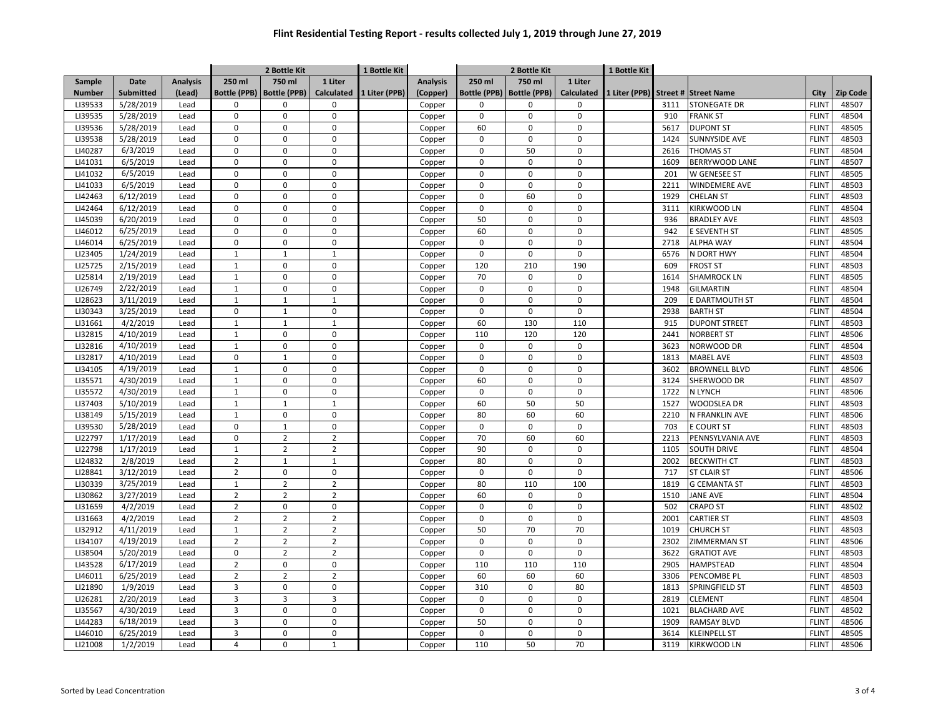|               |             |                 |                     | 2 Bottle Kit        |                     | 1 Bottle Kit  |                 |                     | 2 Bottle Kit        |                   |               |      |                       |              |          |
|---------------|-------------|-----------------|---------------------|---------------------|---------------------|---------------|-----------------|---------------------|---------------------|-------------------|---------------|------|-----------------------|--------------|----------|
| Sample        | <b>Date</b> | <b>Analysis</b> | 250 ml              | 750 ml              | 1 Liter             |               | <b>Analysis</b> | 250 ml              | 750 ml              | 1 Liter           |               |      |                       |              |          |
| <b>Number</b> | Submitted   | (Lead)          | <b>Bottle (PPB)</b> | <b>Bottle (PPB)</b> | <b>Calculated</b>   | 1 Liter (PPB) | (Copper)        | <b>Bottle (PPB)</b> | <b>Bottle (PPB)</b> | <b>Calculated</b> | 1 Liter (PPB) |      | Street # Street Name  | City         | Zip Code |
| LI39533       | 5/28/2019   | Lead            | 0                   | $\mathsf 0$         | $\mathbf 0$         |               | Copper          | 0                   | 0                   | $\mathbf 0$       |               | 3111 | <b>STONEGATE DR</b>   | <b>FLINT</b> | 48507    |
| LI39535       | 5/28/2019   | Lead            | 0                   | $\mathbf 0$         | $\mathsf{O}\xspace$ |               | Copper          | $\mathbf 0$         | 0                   | $\mathbf 0$       |               | 910  | <b>FRANK ST</b>       | <b>FLINT</b> | 48504    |
| LI39536       | 5/28/2019   | Lead            | 0                   | $\mathsf 0$         | $\mathbf 0$         |               | Copper          | 60                  | $\mathbf 0$         | $\Omega$          |               | 5617 | <b>DUPONT ST</b>      | <b>FLINT</b> | 48505    |
| LI39538       | 5/28/2019   | Lead            | 0                   | $\mathbf 0$         | $\mathbf 0$         |               | Copper          | 0                   | $\Omega$            | $\Omega$          |               | 1424 | SUNNYSIDE AVE         | <b>FLINT</b> | 48503    |
| LI40287       | 6/3/2019    | Lead            | $\mathbf 0$         | $\Omega$            | $\mathbf{0}$        |               | Copper          | 0                   | 50                  | $\Omega$          |               | 2616 | <b>THOMAS ST</b>      | <b>FLINT</b> | 48504    |
| LI41031       | 6/5/2019    | Lead            | $\Omega$            | $\Omega$            | $\mathbf{0}$        |               | Copper          | $\Omega$            | $\Omega$            | $\Omega$          |               | 1609 | <b>BERRYWOOD LANE</b> | <b>FLINT</b> | 48507    |
| LI41032       | 6/5/2019    | Lead            | $\Omega$            | $\Omega$            | $\mathbf{0}$        |               | Copper          | $\Omega$            | $\mathbf 0$         | $\Omega$          |               | 201  | W GENESEE ST          | <b>FLINT</b> | 48505    |
| LI41033       | 6/5/2019    | Lead            | $\Omega$            | $\Omega$            | $\mathbf 0$         |               | Copper          | $\mathbf 0$         | $\mathbf 0$         | $\Omega$          |               | 2211 | <b>WINDEMERE AVE</b>  | <b>FLINT</b> | 48503    |
| LI42463       | 6/12/2019   | Lead            | $\Omega$            | $\Omega$            | $\Omega$            |               | Copper          | $\mathsf 0$         | 60                  | $\Omega$          |               | 1929 | <b>CHELAN ST</b>      | <b>FLINT</b> | 48503    |
| LI42464       | 6/12/2019   | Lead            | $\mathbf 0$         | 0                   | $\mathbf 0$         |               | Copper          | 0                   | $\mathbf 0$         | $\Omega$          |               | 3111 | <b>KIRKWOOD LN</b>    | <b>FLINT</b> | 48504    |
| LI45039       | 6/20/2019   | Lead            | $\Omega$            | $\Omega$            | $\mathbf 0$         |               | Copper          | 50                  | 0                   | $\Omega$          |               | 936  | <b>BRADLEY AVE</b>    | <b>FLINT</b> | 48503    |
| LI46012       | 6/25/2019   | Lead            | $\mathbf 0$         | 0                   | $\mathbf 0$         |               | Copper          | 60                  | 0                   | $\Omega$          |               | 942  | E SEVENTH ST          | <b>FLINT</b> | 48505    |
| LI46014       | 6/25/2019   | Lead            | 0                   | $\mathbf 0$         | $\mathbf{0}$        |               | Copper          | $\mathbf 0$         | $\Omega$            | $\Omega$          |               | 2718 | <b>ALPHA WAY</b>      | <b>FLINT</b> | 48504    |
| LI23405       | 1/24/2019   | Lead            | $\mathbf{1}$        | $\mathbf{1}$        | $\mathbf{1}$        |               | Copper          | $\mathbf 0$         | $\mathbf 0$         | $\mathbf 0$       |               | 6576 | N DORT HWY            | <b>FLINT</b> | 48504    |
| LI25725       | 2/15/2019   | Lead            | $\mathbf{1}$        | $\pmb{0}$           | $\pmb{0}$           |               | Copper          | 120                 | 210                 | 190               |               | 609  | <b>FROST ST</b>       | <b>FLINT</b> | 48503    |
| LI25814       | 2/19/2019   | Lead            | $\mathbf 1$         | $\pmb{0}$           | $\mathbf 0$         |               | Copper          | 70                  | $\mathbf 0$         | $\mathbf 0$       |               | 1614 | <b>SHAMROCK LN</b>    | <b>FLINT</b> | 48505    |
| LI26749       | 2/22/2019   | Lead            | $\mathbf{1}$        | $\mathbf 0$         | $\mathsf{O}\xspace$ |               | Copper          | $\mathbf 0$         | $\mathbf 0$         | $\mathbf 0$       |               | 1948 | <b>GILMARTIN</b>      | <b>FLINT</b> | 48504    |
| LI28623       | 3/11/2019   | Lead            | $\mathbf{1}$        | $\mathbf{1}$        | $\mathbf{1}$        |               | Copper          | 0                   | $\mathbf 0$         | $\Omega$          |               | 209  | E DARTMOUTH ST        | <b>FLINT</b> | 48504    |
| LI30343       | 3/25/2019   | Lead            | 0                   | $\mathbf{1}$        | $\mathbf 0$         |               | Copper          | 0                   | $\Omega$            | $\Omega$          |               | 2938 | <b>BARTH ST</b>       | <b>FLINT</b> | 48504    |
| LI31661       | 4/2/2019    | Lead            | $\mathbf{1}$        | $\mathbf{1}$        | $\mathbf{1}$        |               | Copper          | 60                  | 130                 | 110               |               | 915  | <b>DUPONT STREET</b>  | <b>FLINT</b> | 48503    |
| LI32815       | 4/10/2019   | Lead            | $\mathbf{1}$        | $\Omega$            | $\mathbf 0$         |               | Copper          | 110                 | 120                 | 120               |               | 2441 | <b>NORBERT ST</b>     | <b>FLINT</b> | 48506    |
| LI32816       | 4/10/2019   | Lead            | $\mathbf{1}$        | $\mathbf 0$         | $\mathbf{0}$        |               | Copper          | $\mathbf 0$         | $\mathbf 0$         | $\mathbf 0$       |               | 3623 | NORWOOD DR            | <b>FLINT</b> | 48504    |
| LI32817       | 4/10/2019   | Lead            | $\mathbf 0$         | $\mathbf{1}$        | $\mathbf 0$         |               | Copper          | $\mathbf 0$         | $\mathbf 0$         | $\Omega$          |               | 1813 | <b>MABEL AVE</b>      | <b>FLINT</b> | 48503    |
| LI34105       | 4/19/2019   | Lead            | $\mathbf 1$         | $\pmb{0}$           | $\mathbf 0$         |               | Copper          | $\mathsf 0$         | $\Omega$            | $\Omega$          |               | 3602 | <b>BROWNELL BLVD</b>  | <b>FLINT</b> | 48506    |
| LI35571       | 4/30/2019   | Lead            | $\mathbf 1$         | $\mathbf 0$         | $\mathbf{0}$        |               | Copper          | 60                  | $\mathbf 0$         | $\Omega$          |               | 3124 | SHERWOOD DR           | <b>FLINT</b> | 48507    |
| LI35572       | 4/30/2019   | Lead            | $\mathbf{1}$        | $\mathbf 0$         | $\mathbf{0}$        |               | Copper          | $\mathbf 0$         | $\mathbf 0$         | $\Omega$          |               | 1722 | N LYNCH               | <b>FLINT</b> | 48506    |
| LI37403       | 5/10/2019   | Lead            | $\mathbf{1}$        | $\mathbf{1}$        | $\mathbf{1}$        |               | Copper          | 60                  | 50                  | 50                |               | 1527 | <b>WOODSLEA DR</b>    | <b>FLINT</b> | 48503    |
| LI38149       | 5/15/2019   | Lead            | $\mathbf{1}$        | $\mathbf 0$         | $\mathbf{0}$        |               | Copper          | 80                  | 60                  | 60                |               | 2210 | N FRANKLIN AVE        | <b>FLINT</b> | 48506    |
| LI39530       | 5/28/2019   | Lead            | 0                   | 1                   | $\mathbf{0}$        |               | Copper          | $\mathbf 0$         | $\mathbf 0$         | $\mathbf 0$       |               | 703  | <b>E COURT ST</b>     | <b>FLINT</b> | 48503    |
| LI22797       | 1/17/2019   | Lead            | 0                   | $\overline{2}$      | $\overline{2}$      |               | Copper          | 70                  | 60                  | 60                |               | 2213 | PENNSYLVANIA AVE      | <b>FLINT</b> | 48503    |
| LI22798       | 1/17/2019   | Lead            | $\mathbf 1$         | $\overline{2}$      | $\overline{2}$      |               | Copper          | 90                  | $\mathbf 0$         | $\mathbf 0$       |               | 1105 | <b>SOUTH DRIVE</b>    | <b>FLINT</b> | 48504    |
| LI24832       | 2/8/2019    | Lead            | $\overline{2}$      | $\mathbf{1}$        | $\mathbf{1}$        |               | Copper          | 80                  | $\mathbf 0$         | $\mathbf 0$       |               | 2002 | <b>BECKWITH CT</b>    | <b>FLINT</b> | 48503    |
| LI28841       | 3/12/2019   | Lead            | $\overline{2}$      | $\pmb{0}$           | $\mathbf 0$         |               | Copper          | $\mathsf 0$         | $\mathbf 0$         | $\mathbf 0$       |               | 717  | <b>ST CLAIR ST</b>    | <b>FLINT</b> | 48506    |
| LI30339       | 3/25/2019   | Lead            | $\mathbf{1}$        | $\overline{2}$      | $\overline{2}$      |               | Copper          | 80                  | 110                 | 100               |               | 1819 | <b>G CEMANTA ST</b>   | <b>FLINT</b> | 48503    |
| LI30862       | 3/27/2019   | Lead            | $\overline{2}$      | $\overline{2}$      | $\overline{2}$      |               | Copper          | 60                  | $\mathbf 0$         | $\Omega$          |               | 1510 | <b>JANE AVE</b>       | <b>FLINT</b> | 48504    |
| LI31659       | 4/2/2019    | Lead            | $\overline{2}$      | $\mathbf 0$         | $\mathbf 0$         |               | Copper          | $\mathbf 0$         | $\mathbf 0$         | $\Omega$          |               | 502  | <b>CRAPO ST</b>       | <b>FLINT</b> | 48502    |
| LI31663       | 4/2/2019    | Lead            | $\overline{2}$      | $\overline{2}$      | $\overline{2}$      |               | Copper          | $\mathsf 0$         | $\Omega$            | $\Omega$          |               | 2001 | <b>CARTIER ST</b>     | <b>FLINT</b> | 48503    |
| LI32912       | 4/11/2019   | Lead            | $1\,$               | $\overline{2}$      | $\overline{2}$      |               | Copper          | 50                  | 70                  | 70                |               | 1019 | <b>CHURCH ST</b>      | <b>FLINT</b> | 48503    |
| LI34107       | 4/19/2019   | Lead            | $\overline{2}$      | $\overline{2}$      | $\overline{2}$      |               | Copper          | 0                   | $\Omega$            | $\Omega$          |               | 2302 | ZIMMERMAN ST          | <b>FLINT</b> | 48506    |
| LI38504       | 5/20/2019   | Lead            | $\mathbf 0$         | $\overline{2}$      | $\overline{2}$      |               | Copper          | $\mathsf 0$         | $\mathbf 0$         | $\mathbf 0$       |               | 3622 | <b>GRATIOT AVE</b>    | <b>FLINT</b> | 48503    |
| LI43528       | 6/17/2019   | Lead            | $\overline{2}$      | $\mathbf 0$         | $\mathbf{0}$        |               | Copper          | 110                 | 110                 | 110               |               | 2905 | <b>HAMPSTEAD</b>      | <b>FLINT</b> | 48504    |
| LI46011       | 6/25/2019   | Lead            | $\overline{2}$      | $\overline{2}$      | $\overline{2}$      |               | Copper          | 60                  | 60                  | 60                |               | 3306 | PENCOMBE PL           | <b>FLINT</b> | 48503    |
| LI21890       | 1/9/2019    | Lead            | $\overline{3}$      | $\mathbf 0$         | $\mathbf{0}$        |               | Copper          | 310                 | $\Omega$            | 80                |               | 1813 | SPRINGFIELD ST        | <b>FLINT</b> | 48503    |
| LI26281       | 2/20/2019   | Lead            | 3                   | 3                   | $\overline{3}$      |               | Copper          | $\mathbf 0$         | $\mathbf 0$         | $\mathbf 0$       |               | 2819 | <b>CLEMENT</b>        | <b>FLINT</b> | 48504    |
| LI35567       | 4/30/2019   | Lead            | 3                   | $\mathbf 0$         | $\mathbf 0$         |               | Copper          | $\mathbf 0$         | $\mathbf 0$         | $\Omega$          |               | 1021 | <b>BLACHARD AVE</b>   | <b>FLINT</b> | 48502    |
| LI44283       | 6/18/2019   | Lead            | 3                   | $\pmb{0}$           | $\mathbf 0$         |               | Copper          | 50                  | $\mathbf 0$         | $\mathbf 0$       |               | 1909 | <b>RAMSAY BLVD</b>    | <b>FLINT</b> | 48506    |
| LI46010       | 6/25/2019   | Lead            | 3                   | $\mathbf 0$         | $\mathsf 0$         |               | Copper          | 0                   | $\mathbf 0$         | $\Omega$          |               | 3614 | <b>KLEINPELL ST</b>   | <b>FLINT</b> | 48505    |
| LI21008       | 1/2/2019    | Lead            | $\overline{4}$      | $\mathbf 0$         | $\mathbf{1}$        |               | Copper          | 110                 | 50                  | 70                |               | 3119 | <b>KIRKWOOD LN</b>    | <b>FLINT</b> | 48506    |
|               |             |                 |                     |                     |                     |               |                 |                     |                     |                   |               |      |                       |              |          |